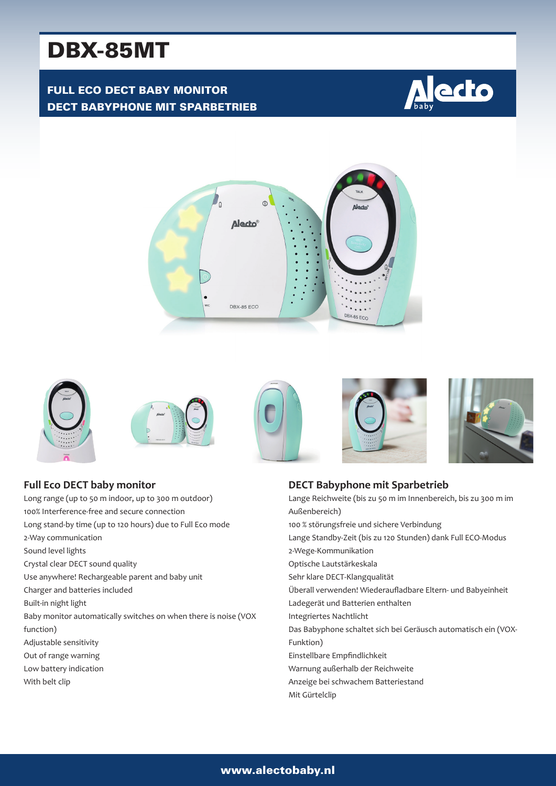# DBX-85MT

## FULL ECO DECT BABY MONITOR DECT BABYPHONE MIT SPARBETRIEB











Long range (up to 50 m indoor, up to 300 m outdoor) 100% Interference-free and secure connection Long stand-by time (up to 120 hours) due to Full Eco mode 2-Way communication Sound level lights Crystal clear DECT sound quality Use anywhere! Rechargeable parent and baby unit Charger and batteries included Built-in night light Baby monitor automatically switches on when there is noise (VOX function) Adjustable sensitivity Out of range warning Low battery indication With belt clip







#### **DECT Babyphone mit Sparbetrieb** Lange Reichweite (bis zu 50 m im Innenbereich, bis zu 300 m im Außenbereich) 100 % störungsfreie und sichere Verbindung Lange Standby-Zeit (bis zu 120 Stunden) dank Full ECO-Modus 2-Wege-Kommunikation Optische Lautstärkeskala Sehr klare DECT-Klangqualität Überall verwenden! Wiederaufladbare Eltern- und Babyeinheit Ladegerät und Batterien enthalten Integriertes Nachtlicht Das Babyphone schaltet sich bei Geräusch automatisch ein (VOX-Funktion) Einstellbare Empfindlichkeit Warnung außerhalb der Reichweite Anzeige bei schwachem Batteriestand

Mit Gürtelclip